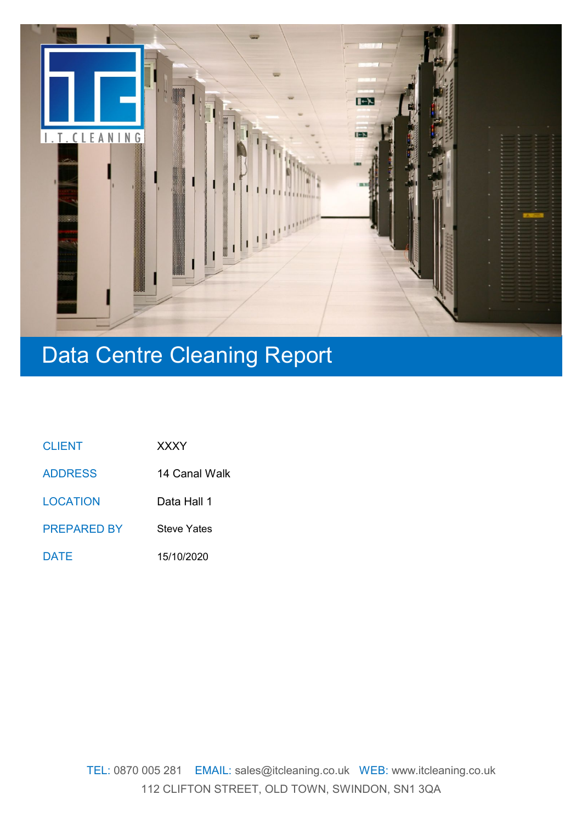

# Data Centre Cleaning Report

| <b>CLIENT</b> | <b>XXXY</b> |
|---------------|-------------|
|               |             |

14 Canal Walk ADDRESS

Data Hall 1 **LOCATION** 

Steve Yates PREPARED BY

15/10/2020 DATE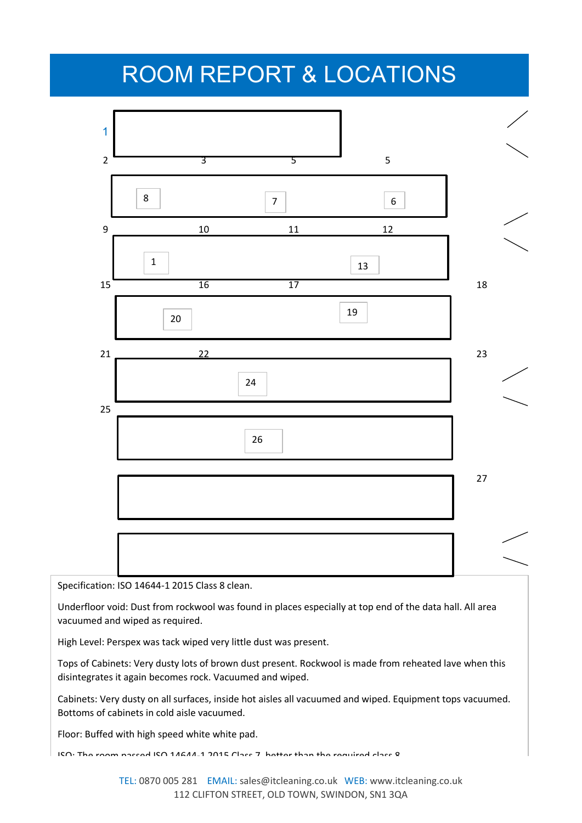## ROOM REPORT & LOCATIONS



Specification: ISO 14644-1 2015 Class 8 clean.

Underfloor void: Dust from rockwool was found in places especially at top end of the data hall. All area vacuumed and wiped as required.

High Level: Perspex was tack wiped very little dust was present.

Tops of Cabinets: Very dusty lots of brown dust present. Rockwool is made from reheated lave when this disintegrates it again becomes rock. Vacuumed and wiped.

Cabinets: Very dusty on all surfaces, inside hot aisles all vacuumed and wiped. Equipment tops vacuumed. Bottoms of cabinets in cold aisle vacuumed.

Floor: Buffed with high speed white white pad.

ISO: The room passed ISO 14644-1 2015 Class 7, better than the required class 8.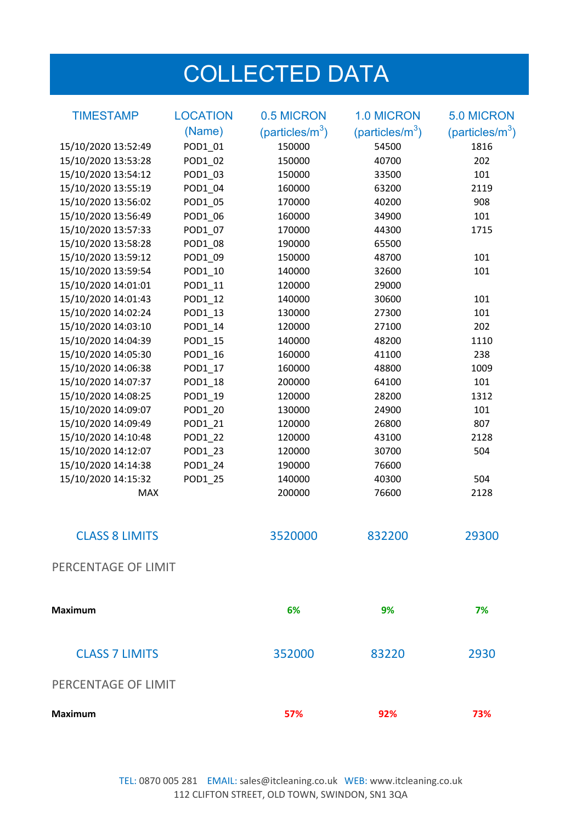# COLLECTED DATA

| <b>TIMESTAMP</b>      | <b>LOCATION</b> | 0.5 MICRON                  | <b>1.0 MICRON</b>           | <b>5.0 MICRON</b>   |
|-----------------------|-----------------|-----------------------------|-----------------------------|---------------------|
|                       | (Name)          | (particles/m <sup>3</sup> ) | (particles/m <sup>3</sup> ) | (particles/ $m^3$ ) |
| 15/10/2020 13:52:49   | POD1_01         | 150000                      | 54500                       | 1816                |
| 15/10/2020 13:53:28   | POD1_02         | 150000                      | 40700                       | 202                 |
| 15/10/2020 13:54:12   | POD1 03         | 150000                      | 33500                       | 101                 |
| 15/10/2020 13:55:19   | POD1_04         | 160000                      | 63200                       | 2119                |
| 15/10/2020 13:56:02   | POD1_05         | 170000                      | 40200                       | 908                 |
| 15/10/2020 13:56:49   | POD1_06         | 160000                      | 34900                       | 101                 |
| 15/10/2020 13:57:33   | POD1 07         | 170000                      | 44300                       | 1715                |
| 15/10/2020 13:58:28   | POD1 08         | 190000                      | 65500                       |                     |
| 15/10/2020 13:59:12   | POD1_09         | 150000                      | 48700                       | 101                 |
| 15/10/2020 13:59:54   | POD1_10         | 140000                      | 32600                       | 101                 |
| 15/10/2020 14:01:01   | POD1_11         | 120000                      | 29000                       |                     |
| 15/10/2020 14:01:43   | POD1_12         | 140000                      | 30600                       | 101                 |
| 15/10/2020 14:02:24   | POD1_13         | 130000                      | 27300                       | 101                 |
| 15/10/2020 14:03:10   | POD1_14         | 120000                      | 27100                       | 202                 |
| 15/10/2020 14:04:39   | POD1_15         | 140000                      | 48200                       | 1110                |
| 15/10/2020 14:05:30   | POD1 16         | 160000                      | 41100                       | 238                 |
| 15/10/2020 14:06:38   | POD1_17         | 160000                      | 48800                       | 1009                |
| 15/10/2020 14:07:37   | POD1_18         | 200000                      | 64100                       | 101                 |
| 15/10/2020 14:08:25   | POD1_19         | 120000                      | 28200                       | 1312                |
| 15/10/2020 14:09:07   | POD1_20         | 130000                      | 24900                       | 101                 |
| 15/10/2020 14:09:49   | POD1_21         | 120000                      | 26800                       | 807                 |
| 15/10/2020 14:10:48   | POD1_22         | 120000                      | 43100                       | 2128                |
| 15/10/2020 14:12:07   | POD1_23         | 120000                      | 30700                       | 504                 |
| 15/10/2020 14:14:38   | POD1_24         | 190000                      | 76600                       |                     |
| 15/10/2020 14:15:32   | POD1_25         | 140000                      | 40300                       | 504                 |
| <b>MAX</b>            |                 | 200000                      | 76600                       | 2128                |
| <b>CLASS 8 LIMITS</b> |                 | 3520000                     | 832200                      | 29300               |
| PERCENTAGE OF LIMIT   |                 |                             |                             |                     |
| <b>Maximum</b>        |                 | 6%                          | 9%                          | 7%                  |
| <b>CLASS 7 LIMITS</b> |                 | 352000                      | 83220                       | 2930                |
| PERCENTAGE OF LIMIT   |                 |                             |                             |                     |
| <b>Maximum</b>        |                 | 57%                         | 92%                         | 73%                 |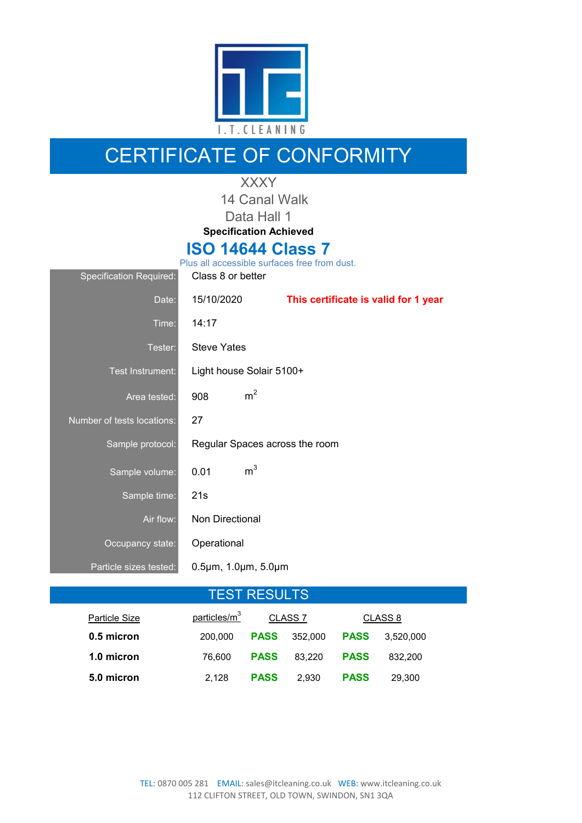

### CERTIFICATE OF CONFORMITY

#### XXXY

14 Canal Walk Data Hall 1

**Specification Achieved**

### **ISO 14644 Class 7**

| <b>Specification Required:</b> | Class 8 or better                       |                                      |
|--------------------------------|-----------------------------------------|--------------------------------------|
| Date:                          | 15/10/2020                              | This certificate is valid for 1 year |
| Time:                          | 14:17                                   |                                      |
| Tester:                        | <b>Steve Yates</b>                      |                                      |
| Test Instrument:               | Light house Solair 5100+                |                                      |
| Area tested:                   | m <sup>2</sup><br>908                   |                                      |
| Number of tests locations:     | 27                                      |                                      |
| Sample protocol:               | Regular Spaces across the room          |                                      |
| Sample volume:                 | m <sup>3</sup><br>0.01                  |                                      |
| Sample time:                   | 21s                                     |                                      |
| Air flow:                      | <b>Non Directional</b>                  |                                      |
| Occupancy state:               | Operational                             |                                      |
| Particle sizes tested:         | $0.5 \mu m$ , 1.0 $\mu m$ , 5.0 $\mu m$ |                                      |
|                                |                                         |                                      |

### TEST RESULTS

| Particle Size | particles/m <sup>3</sup> | CLASS <sub>7</sub> |         | CLASS 8     |           |
|---------------|--------------------------|--------------------|---------|-------------|-----------|
| 0.5 micron    | 200,000                  | <b>PASS</b>        | 352,000 | <b>PASS</b> | 3.520.000 |
| 1.0 micron    | 76.600                   | <b>PASS</b>        | 83.220  | <b>PASS</b> | 832.200   |
| 5.0 micron    | 2.128                    | <b>PASS</b>        | 2.930   | <b>PASS</b> | 29.300    |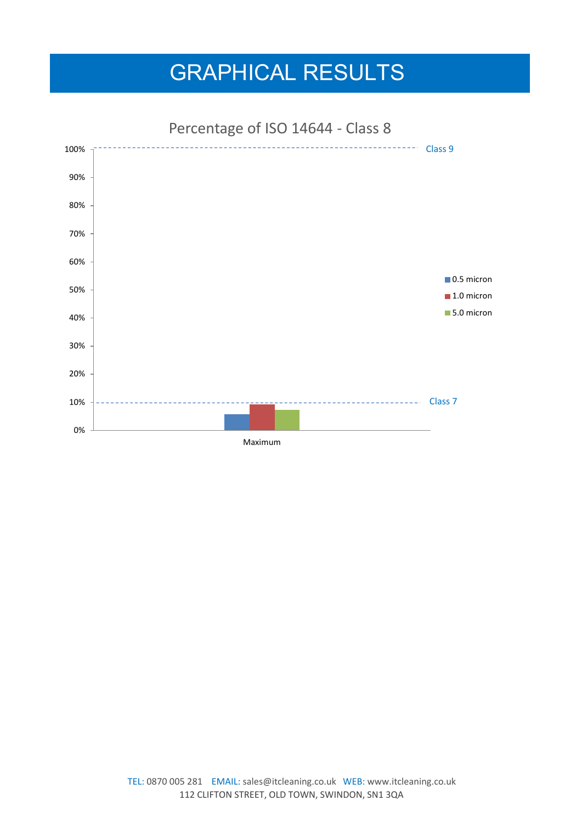## GRAPHICAL RESULTS



Percentage of ISO 14644 - Class 8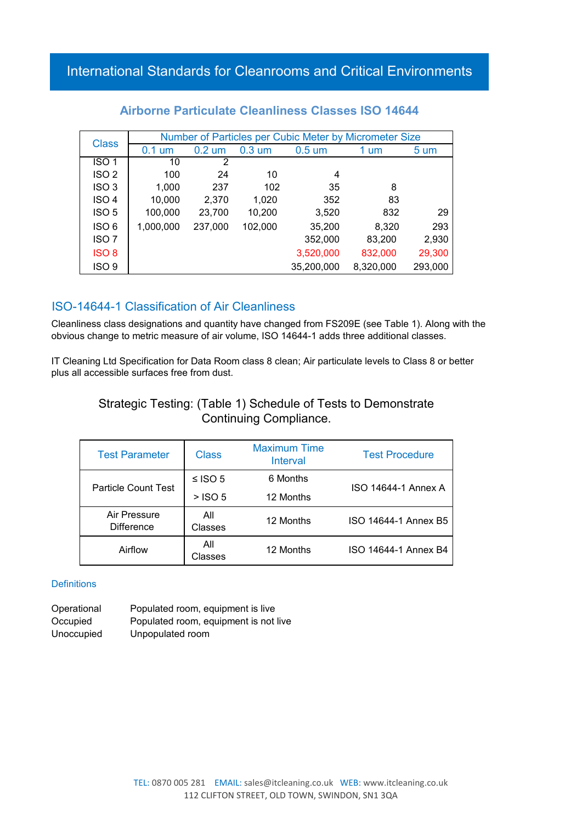| <b>Class</b>     | Number of Particles per Cubic Meter by Micrometer Size |                  |                  |                  |           |                  |
|------------------|--------------------------------------------------------|------------------|------------------|------------------|-----------|------------------|
|                  | $0.1 \text{ um}$                                       | $0.2 \text{ um}$ | $0.3 \text{ um}$ | $0.5 \text{ um}$ | 1 um      | $5 \mathrm{~um}$ |
| ISO <sub>1</sub> | 10                                                     | 2                |                  |                  |           |                  |
| ISO <sub>2</sub> | 100                                                    | 24               | 10               | 4                |           |                  |
| ISO <sub>3</sub> | 1,000                                                  | 237              | 102              | 35               | 8         |                  |
| ISO <sub>4</sub> | 10,000                                                 | 2,370            | 1,020            | 352              | 83        |                  |
| ISO <sub>5</sub> | 100,000                                                | 23,700           | 10,200           | 3,520            | 832       | 29               |
| ISO 6            | 1,000,000                                              | 237,000          | 102,000          | 35,200           | 8,320     | 293              |
| ISO <sub>7</sub> |                                                        |                  |                  | 352,000          | 83,200    | 2,930            |
| ISO <sub>8</sub> |                                                        |                  |                  | 3,520,000        | 832,000   | 29,300           |
| ISO <sub>9</sub> |                                                        |                  |                  | 35,200,000       | 8,320,000 | 293,000          |

#### **Airborne Particulate Cleanliness Classes ISO 14644**

#### ISO-14644-1 Classification of Air Cleanliness

Cleanliness class designations and quantity have changed from FS209E (see Table 1). Along with the obvious change to metric measure of air volume, ISO 14644-1 adds three additional classes.

IT Cleaning Ltd Specification for Data Room class 8 clean; Air particulate levels to Class 8 or better plus all accessible surfaces free from dust.

#### Strategic Testing: (Table 1) Schedule of Tests to Demonstrate Continuing Compliance.

| <b>Test Parameter</b>             | <b>Class</b>   | <b>Maximum Time</b><br>Interval | <b>Test Procedure</b> |
|-----------------------------------|----------------|---------------------------------|-----------------------|
| <b>Particle Count Test</b>        | ≤ ISO 5        | 6 Months                        | ISO 14644-1 Annex A   |
|                                   | $>$ ISO 5      | 12 Months                       |                       |
| Air Pressure<br><b>Difference</b> | All<br>Classes | 12 Months                       | ISO 14644-1 Annex B5  |
| Airflow                           | All<br>Classes | 12 Months                       | ISO 14644-1 Annex B4  |

#### **Definitions**

Operational Populated room, equipment is live Occupied Populated room, equipment is not live Unoccupied Unpopulated room